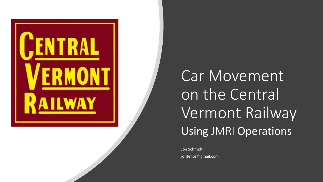

Car Movement on the Central Vermont Railway Using JMRI Operations

Jon Schmidt jontenor@gmail.com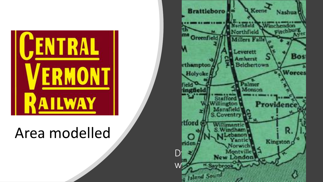

### Area modelled

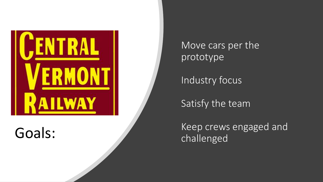

Move cars per the prototype

Industry focus

Satisfy the team

Goals: Keep crews engaged and Keep crews engaged and challenged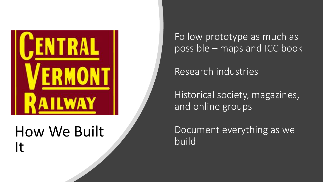

### How We Built It

Follow prototype as much as possible – maps and ICC book

Research industries

Historical society, magazines, and online groups

Document everything as we build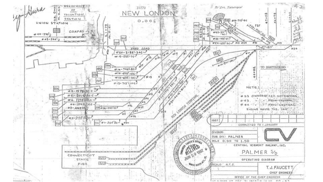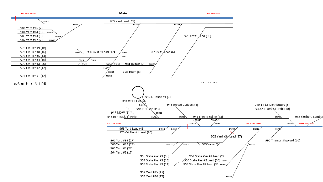

<-South to NH RR

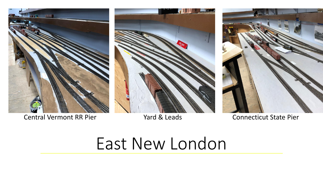



Central Vermont RR Pier Theorem 2012 Vard & Leads Connecticut State Pier



# East New London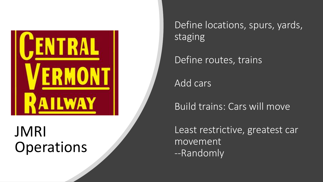

### JMRI **Operations**

Define locations, spurs, yards, staging

Define routes, trains

Add cars

Build trains: Cars will move

Least restrictive, greatest car movement --Randomly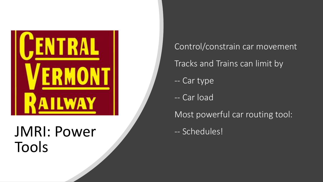

### JMRI: Power -- Schedules! Tools

Control/constrain car movement Tracks and Trains can limit by -- Car type -- Car load Most powerful car routing tool: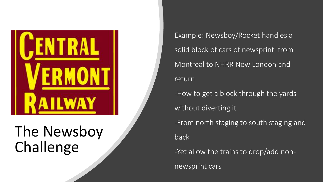

## The Newsboy Challenge

Example: Newsboy/Rocket handles a solid block of cars of newsprint from Montreal to NHRR New London and return -How to get a block through the yards without diverting it -From north staging to south staging and back

-Yet allow the trains to drop/add non-

newsprint cars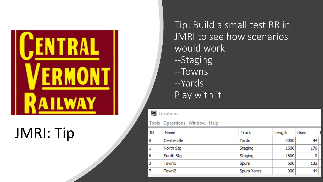

## JMRI: Tip

Tip: Build a small test RR in JMRI to see how scenarios would work --Staging --Towns --Yards Play with it

**PL** Locations

#### Tools Operations Window Help

| ID           | <b>Name</b>       | Track              | Length | <b>Used</b> |  |
|--------------|-------------------|--------------------|--------|-------------|--|
| 8            | Centerville       | Yards              | 2000   | 44          |  |
| $\mathbf{1}$ | North Stg         | Staging            | 1600   | 176         |  |
| 6            | South Stg         | Staging            | 1600   |             |  |
| 3            | Town1             | <b>Spurs</b>       | 600    | 132         |  |
| 7            | Town <sub>2</sub> | <b>Spurs Yards</b> | 900    | 44          |  |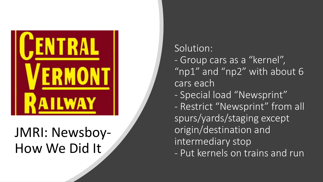

### JMRI: Newsboy - How We Did It

Solution:<br>- Group cars as a "kernel", " $np1"$  and " $np2"$  with about 6 cars each

- Special load "Newsprint"
- Restrict "Newsprint" from all spurs/yards/staging except origin/destination and intermediary stop
- Put kernels on trains and run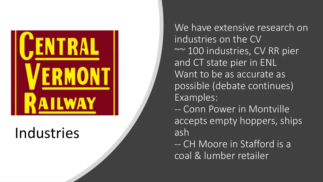

### Industries

We have extensive research on industries on the CV ~~ 100 industries, CV RR pier and CT state pier in ENL Want to be as accurate as possible (debate continues) Examples: -- Conn Power in Montville accepts empty hoppers, ships ash

-- CH Moore in Stafford is a coal & lumber retailer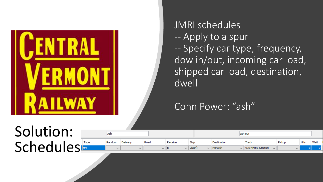

JMRI schedules -- Apply to a spur -- Specify car type, frequency, dow in/out, incoming car load, shipped car load, destination, dwell

#### Conn Power: "ash"

### **Solution** Schedule

|     |      | <b>Ash</b>   |              |      |         |                        | ash out     |                                    |        |             |      |  |  |  |  |
|-----|------|--------------|--------------|------|---------|------------------------|-------------|------------------------------------|--------|-------------|------|--|--|--|--|
|     | Type | Random       | Delivery     | Road | Receive | Ship                   | Destination | Track                              | Pickup | <b>Hits</b> | Wait |  |  |  |  |
| - - |      | $\checkmark$ | $\checkmark$ |      |         | L(ash)<br>$\checkmark$ | Norwich     | $\vee$ 919 NHRR Junction<br>$\sim$ |        |             |      |  |  |  |  |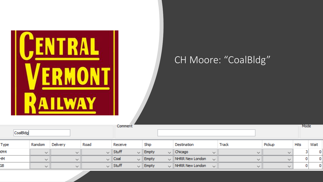

Empty

 $\checkmark$ 

NHRR New London

 $\checkmark$ 

 $\checkmark$ 

 $\vee$ 

 $\mathbf 0$ 

0

 $\checkmark$ 

 $\smallsmile$  Stuff

 $\checkmark$ 

 $\checkmark$ 

GВ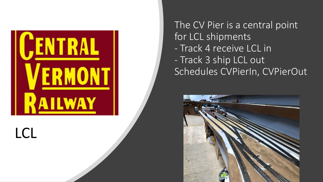

LCL

The CV Pier is a central point for LCL shipments - Track 4 receive LCL in - Track 3 ship LCL out Schedules CVPierIn, CVPierOut

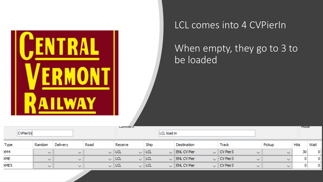

#### LCL comes into 4 CVPierIn

#### When empty, they go to 3 to be loaded

|            |                 |              |              |      | Comment     |           |            |             |                           |        |           |              |        | <b>TYTOUE</b> |              |
|------------|-----------------|--------------|--------------|------|-------------|-----------|------------|-------------|---------------------------|--------|-----------|--------------|--------|---------------|--------------|
|            | <b>CVPierIn</b> |              |              |      |             |           |            | LCL load in |                           |        |           |              |        |               |              |
| Type       |                 | Random       | Delivery     | Road | Receive     |           | Ship       |             | Destination               |        | Track     |              | Pickup | Hits          | Wait         |
| XM4        |                 | $\sim$       | $\checkmark$ |      | $\vee$ ILCL |           | $\vee$ LCL |             | $\vee$ ENL CV Pier        |        | CV Pier 3 | $\sim$       |        | 30            | $\mathbf{0}$ |
| <b>XME</b> |                 | $\checkmark$ | $\checkmark$ |      | $\vee$ LCL  | $\vee$ 11 | <b>LCL</b> |             | $\vee$ ENL CV Pier        |        | CV Pier 3 | $\checkmark$ |        |               | 0            |
| XME5       |                 | $\sim$       | $\checkmark$ |      | $\vee$ LCL. | $\vee$ 11 | <b>LCL</b> |             | $\sim$ <b>ENL CV Pier</b> | $\sim$ | CV Pier3  | $\checkmark$ |        |               | 01           |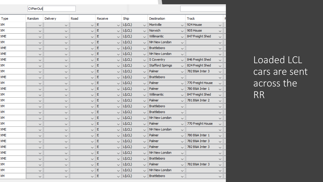|      | CVPierOut    |              |              |                    |                        |                                         |                                   |
|------|--------------|--------------|--------------|--------------------|------------------------|-----------------------------------------|-----------------------------------|
| Type | Random       | Delivery     | Road         | Receive            | Ship                   | Destination                             | <b>Track</b>                      |
| XМ   | ∨            | $\checkmark$ | $\checkmark$ | E<br>$\vee$        | L(LCL)<br>$\checkmark$ | Montville<br>$\checkmark$               | 924 House<br>✓                    |
| XМ   | ✓            | ✓            | ✓            | E<br>$\checkmark$  | L(LCL)<br>$\checkmark$ | Norwich<br>$\checkmark$                 | 905 House<br>$\checkmark$         |
| XME  | ✓            | ∨            | $\checkmark$ | E<br>$\checkmark$  | L(LCL)<br>$\checkmark$ | Willimantic<br>$\checkmark$             | 847 Freight Shed<br>$\checkmark$  |
| XМ   | ✓            | ✓            | ✓            | E<br>$\checkmark$  | L(LCL)<br>$\checkmark$ | NH New London<br>$\checkmark$           | ✓                                 |
| XME  | ✓            | $\checkmark$ | $\checkmark$ | E<br>$\checkmark$  | L(LCL)<br>$\checkmark$ | Brattleboro<br>$\checkmark$             | ✓                                 |
| XME  | $\checkmark$ | $\checkmark$ | $\checkmark$ | E<br>$\checkmark$  | L(LCL)<br>$\checkmark$ | NH New London<br>$\checkmark$           | $\checkmark$                      |
| XME  | ✓            | $\checkmark$ | $\checkmark$ | E<br>$\checkmark$  | L(LCL)<br>$\checkmark$ | S Coventry<br>✓                         | 846 Freight Shed<br>$\checkmark$  |
| XМ   | ✓            | ✓            | $\checkmark$ | E<br>$\checkmark$  | L(LCL)<br>$\checkmark$ | <b>Stafford Springs</b><br>$\checkmark$ | 824 Freight Shed<br>$\checkmark$  |
| XМ   | ✓            | $\checkmark$ | $\checkmark$ | E<br>$\checkmark$  | L(LCL)<br>$\checkmark$ | Palmer<br>$\checkmark$                  | 782 B&A Inter 3<br>$\checkmark$   |
| XME  | ✓            | $\checkmark$ | $\checkmark$ | E<br>$\checkmark$  | L(LCL)<br>$\checkmark$ | <b>Brattleboro</b><br>$\checkmark$      | $\checkmark$                      |
| XМ   | $\checkmark$ | $\checkmark$ | $\checkmark$ | E<br>$\checkmark$  | L(LCL)<br>$\checkmark$ | Palmer<br>✓                             | 770 Freight House<br>$\checkmark$ |
| XME  | $\checkmark$ | ✓            | $\checkmark$ | E<br>$\vee$        | L(LCL)<br>$\checkmark$ | Palmer<br>$\checkmark$                  | 780 B&A Inter 1<br>$\checkmark$   |
| XМ   | ✓            | $\checkmark$ | $\checkmark$ | E<br><br><         | L(LCL)<br>$\checkmark$ | Willimantic<br>$\checkmark$             | 847 Freight Shed<br>$\checkmark$  |
| XМ   | ✓            | $\checkmark$ | $\checkmark$ | E<br>$\backsim$ 1  | L(LCL)<br>$\checkmark$ | Palmer<br>✓                             | 781 B&A Inter 2<br>$\checkmark$   |
| XМ   | ∨            | $\checkmark$ | $\checkmark$ | E<br><             | L(LCL)<br>$\checkmark$ | Brattleboro<br>$\checkmark$             | $\checkmark$                      |
| ΧМ   | ∨            | $\checkmark$ | ✓            | E                  | L(LCL)<br>$\checkmark$ | Brattleboro<br>✓                        | $\checkmark$                      |
| ΧМ   | ∨            | $\checkmark$ | ✓            | E<br>$\checkmark$  | L(LCL)<br>$\checkmark$ | NH New London<br>✓                      | ∨                                 |
| XМ   | ✓            | ∨            | ✓            | E                  | L(LCL)<br>$\checkmark$ | Palmer<br>୰                             | 770 Freight House<br>∨            |
| XME  | ∨            | ∨            | ✓            | E<br>$\checkmark$  | L(LCL)<br>$\checkmark$ | NH New London<br>$\checkmark$           | $\checkmark$                      |
| XME  | ✓            | ∨            | ✓            | E<br>$\checkmark$  | L(LCL)<br>$\checkmark$ | Palmer<br>$\checkmark$                  | 780 B&A Inter 1<br>✓              |
| XME  | ✓            | $\checkmark$ | $\checkmark$ | E<br>$\checkmark$  | L(LCL)<br>$\checkmark$ | Palmer<br>$\checkmark$                  | 782 B&A Inter 3<br>$\checkmark$   |
| XME  | ∨            | $\checkmark$ | $\checkmark$ | E<br>$\checkmark$  | L(LCL)<br>$\checkmark$ | Palmer<br>$\checkmark$                  | 782 B&A Inter 3<br>$\checkmark$   |
| XME  | $\checkmark$ | $\checkmark$ | $\checkmark$ | E<br>$\checkmark$  | L(LCL)<br>$\checkmark$ | NH New London<br>$\checkmark$           | $\checkmark$                      |
| XME  | ∨            | ✓            | $\checkmark$ | E<br>$\checkmark$  | L(LCL)<br>$\checkmark$ | <b>Brattleboro</b><br>$\checkmark$      | $\checkmark$                      |
| XМ   | ✓            | $\checkmark$ | $\checkmark$ | E<br>$\checkmark$  | L(LCL)<br>$\checkmark$ | Palmer<br>$\checkmark$                  | 782 B&A Inter 3<br>$\checkmark$   |
| XМ   | ∨            | $\checkmark$ | $\checkmark$ | E<br>$\backsim$ 11 | L(LCL)<br>$\checkmark$ | NH New London<br>✓                      | $\checkmark$                      |
| XМ   | $\checkmark$ | ✓            | $\checkmark$ | E<br><             | L(LCL)<br>$\checkmark$ | Brattleboro<br>$\checkmark$             | v                                 |

Loaded LCL cars are sent across the RR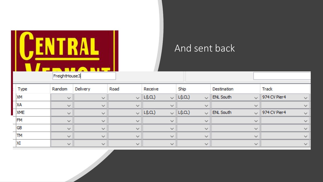

#### And sent back

| <b>Type</b> | Random                                  | Delivery                                | Road                                    | Receive                              | Ship                                    | <b>Destination</b> | Track                                                           |
|-------------|-----------------------------------------|-----------------------------------------|-----------------------------------------|--------------------------------------|-----------------------------------------|--------------------|-----------------------------------------------------------------|
| <b>XM</b>   | $\Delta\omega^2$                        | $\mathcal{D}_{\text{c}}(\mathcal{A})$   |                                         | $\vee$ $\ $ L(LCL)                   | $\vee$ $\ $ L(LCL)                      | $\vee$ ENL South   | $\vee$ 974 CV Pier 4<br>$\mathcal{D}_{\text{Lip}}(\mathcal{C})$ |
| XA          | $\mathcal{D}_{\text{Lip}}(\mathcal{C})$ | $\Delta_{\rm{tot}}/2$                   | $\mathcal{N}_{\text{Lip}}(\mathcal{C})$ |                                      | 75 M                                    | المحروة            | المحيرة                                                         |
| <b>XME</b>  | $\Delta_{\rm{tot}}/2$                   | $\mathcal{D}_{\text{c}}(\mathcal{A})$   |                                         | $\vee$ $\ $ L(LCL)                   | $\sim$ $ $ L(LCL)                       | $\vee$ ENL South   | $\vee$ 974 CV Pier 4<br>$\Delta_{\rm eff}$                      |
| <b>FM</b>   | $\mathcal{D}_{\text{Lip}}(\mathcal{C})$ | $\Delta \phi_{\rm eff}$                 | $\mathcal{H}_{\text{tot}}(\mathcal{C})$ | W                                    | <b>Sept.</b>                            | シーム                | ヘイ                                                              |
| <b>GB</b>   | $\mathcal{D}_{\text{Lip}}(\mathcal{C})$ | $\mathcal{D}_{\text{Lip}}(\mathcal{C})$ | $\mathcal{D}_{\text{max}}(\mathcal{C})$ | W                                    | $\mathcal{D}_{\text{tot}}(\mathcal{C})$ | ヘイ                 |                                                                 |
| <b>TM</b>   | $\mathcal{D}_{\text{Lip}}(\mathcal{C})$ | $\Delta \phi_{\rm eff}$                 | $\mathcal{H}_{\text{Lip}}(\mathcal{C})$ | $\mathcal{N}_{\rm eff}(\mathcal{C})$ | $\Delta_{\rm eff}/\Delta$               | シーム                |                                                                 |
| XI          | $\Delta_{\rm{tot}}/2$                   | $\mathcal{H}_{\text{tot}}(\mathcal{C})$ | المحيراني                               | المحيرة                              | $\Delta_{\rm{L}}/2$                     | المحروق            |                                                                 |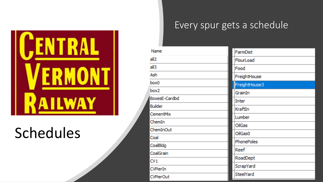

### Schedules

#### Every spur gets a schedule

| <b>Name</b>          | FarmDist      |
|----------------------|---------------|
| all2                 | FlourLoad     |
| all3                 | Food          |
| Ash                  | FreightHouse  |
| box0                 | FreightHouse3 |
| box2                 | GrainIn       |
| <b>BoxesE-Cardbd</b> | <b>Inter</b>  |
| <b>Builder</b>       | KraftIn       |
| <b>CementMix</b>     | Lumber        |
| ChemIn               | <b>OilGas</b> |
| ChemInOut            | OilGas0       |
| Coal                 |               |
| CoalBldg             | PhonePoles    |
| CoalGrain            | Reef          |
| CV1                  | RoadDept      |
| <b>CVPierIn</b>      | ScrapYard     |
| <b>CVPierOut</b>     | SteelYard     |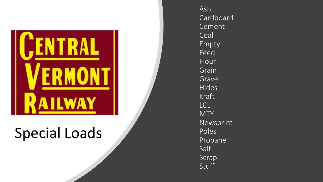

### Special Loads

Ash Cardboard Cement Coal Empty Feed Flour Grain Gravel Hides Kraft LCL **MTY** Newsprint Poles Propane Salt Scrap **Stuff**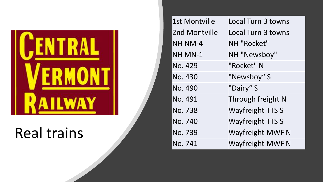

### Real trains

| 1st Montville  | Local Turn 3 towns        |
|----------------|---------------------------|
| 2nd Montville  | <b>Local Turn 3 towns</b> |
| <b>NH NM-4</b> | NH "Rocket"               |
| NH MN-1        | NH "Newsboy"              |
| No. 429        | "Rocket" N                |
| No. 430        | "Newsboy" S               |
| No. 490        | "Dairy" S                 |
| No. 491        | Through freight N         |
| No. 738        | <b>Wayfreight TTS S</b>   |
| No. 740        | <b>Wayfreight TTS S</b>   |
| No. 739        | Wayfreight MWF N          |
| No. 741        | <b>Wayfreight MWF N</b>   |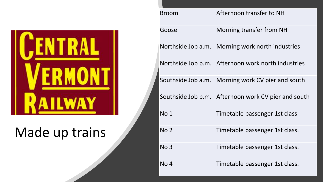

### Made up trains

| <b>Broom</b>       | Afternoon transfer to NH                            |
|--------------------|-----------------------------------------------------|
| Goose              | <b>Morning transfer from NH</b>                     |
| Northside Job a.m. | Morning work north industries                       |
| Northside Job p.m. | Afternoon work north industries                     |
| Southside Job a.m. | Morning work CV pier and south                      |
|                    | Southside Job p.m. Afternoon work CV pier and south |
| No 1               | Timetable passenger 1st class                       |
| No <sub>2</sub>    | Timetable passenger 1st class.                      |
| No <sub>3</sub>    | Timetable passenger 1st class.                      |
| No <sub>4</sub>    | Timetable passenger 1st class.                      |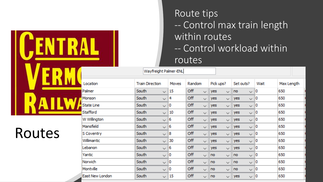### Route tips -- Control max train length within routes -- Control workload within routes

| Location               |       | <b>Train Direction</b> | Moves | Random |              |            | Pick ups?    | Set outs? |              | Wait | Max Length |  |
|------------------------|-------|------------------------|-------|--------|--------------|------------|--------------|-----------|--------------|------|------------|--|
| Palmer                 | South | $\checkmark$           | 15    | Off    | $\checkmark$ | <b>yes</b> | $\checkmark$ | no        | $\checkmark$ | 0    | 650        |  |
| Monson                 | South | $\sim$                 | 4     | Off    | $\checkmark$ | yes        | $\checkmark$ | yes       | $\checkmark$ | 0    | 650        |  |
| <b>State Line</b>      | South | $\checkmark$           | 0     | Off    | $\checkmark$ | yes        | ✓            | yes       | $\checkmark$ | 0    | 650        |  |
| Stafford               | South | $\checkmark$           | 10    | Off    | $\checkmark$ | yes        | $\checkmark$ | yes       | $\checkmark$ | 10   | 650        |  |
| W Willington           | South | $\checkmark$           | 6     | Off    | $\checkmark$ | yes        | $\checkmark$ | yes       | $\checkmark$ | 0    | 650        |  |
| Mansfield              | South | $\sim$                 | 6     | Off    | $\checkmark$ | yes        | ✓            | yes       | $\checkmark$ | 0    | 650        |  |
| S Coventry             | South | $\checkmark$           | 8     | Off    | ✓            | yes        | $\checkmark$ | yes       | $\checkmark$ | 10   | 650        |  |
| Willimantic            | South | $\checkmark$           | 30    | Off    | $\checkmark$ | yes        | $\checkmark$ | yes       | $\checkmark$ | 0    | 650        |  |
| Lebanon                | South | $\checkmark$           | 6     | Off    | $\checkmark$ | yes        | $\checkmark$ | yes       | $\sim$       | 0    | 650        |  |
| Yantic                 | South | $\mathbf{v}$           | 0     | Off    | $\checkmark$ | no         | $\checkmark$ | no        | $\checkmark$ | 0    | 650        |  |
| Norwich                | South | $\sim$                 | 0     | Off    | $\checkmark$ | no         | $\checkmark$ | no        | $\checkmark$ | 0    | 650        |  |
| Montville              | South | $\checkmark$           | 0     | Off    | V            | no         | $\checkmark$ | no        | $\checkmark$ | 0    | 650        |  |
| <b>East New London</b> | South | $\sim$                 | 15    | Off    | $\checkmark$ | no         | $\checkmark$ | yes       | $\checkmark$ | 0    | 650        |  |

### Routes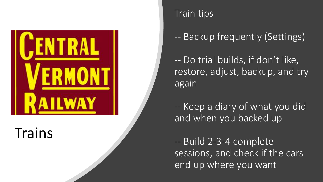

Trains

#### Train tips

-- Backup frequently (Settings)

-- Do trial builds, if don't like, restore, adjust, backup, and try again

-- Keep a diary of what you did and when you backed up

-- Build 2-3-4 complete sessions, and check if the cars end up where you want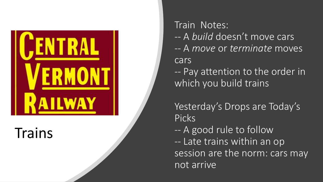

Trains

Train Notes: -- A *build* doesn't move cars -- A *move* or *terminate* moves cars

-- Pay attention to the order in which you build trains

Yesterday's Drops are Today's Picks

-- A good rule to follow

-- Late trains within an op session are the norm: cars may not arrive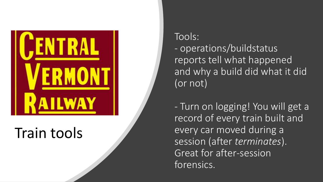

### Train tools

Tools: - operations/buildstatus reports tell what happened and why a build did what it did (or not)

- Turn on logging! You will get a record of every train built and every car moved during a session (after *terminates*). Great for after -session forensics.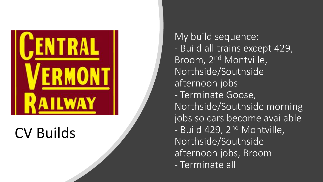

### CV Builds

My build sequence: - Build all trains except 429, Broom, 2nd Montville, Northside/Southside afternoon jobs - Terminate Goose, Northside/Southside morning jobs so cars become available - Build 429, 2<sup>nd</sup> Montville, Northside/Southside afternoon jobs, Broom - Terminate all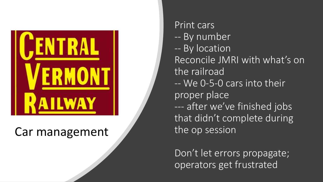

### Car management

Print cars -- By number -- By location Reconcile JMRI with what's on the railroad -- We 0-5-0 cars into their proper place --- after we've finished jobs that didn't complete during the op session

Don't let errors propagate; operators get frustrated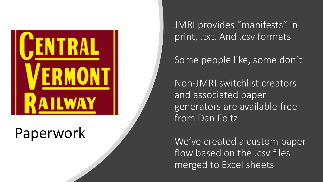

### Paperwork

JMRI provides "manifests" in print, .txt. And .csv formats

Some people like, some don't

Non-JMRI switchlist creators and associated paper generators are available free from Dan Foltz

We've created a custom paper flow based on the .csv files merged to Excel sheets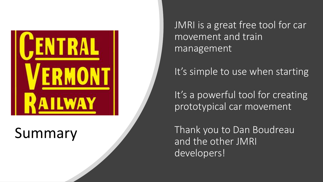

### Summary

JMRI is a great free tool for car movement and train management

It's simple to use when starting

It's a powerful tool for creating prototypical car movement

Thank you to Dan Boudreau and the other JMRI developers!